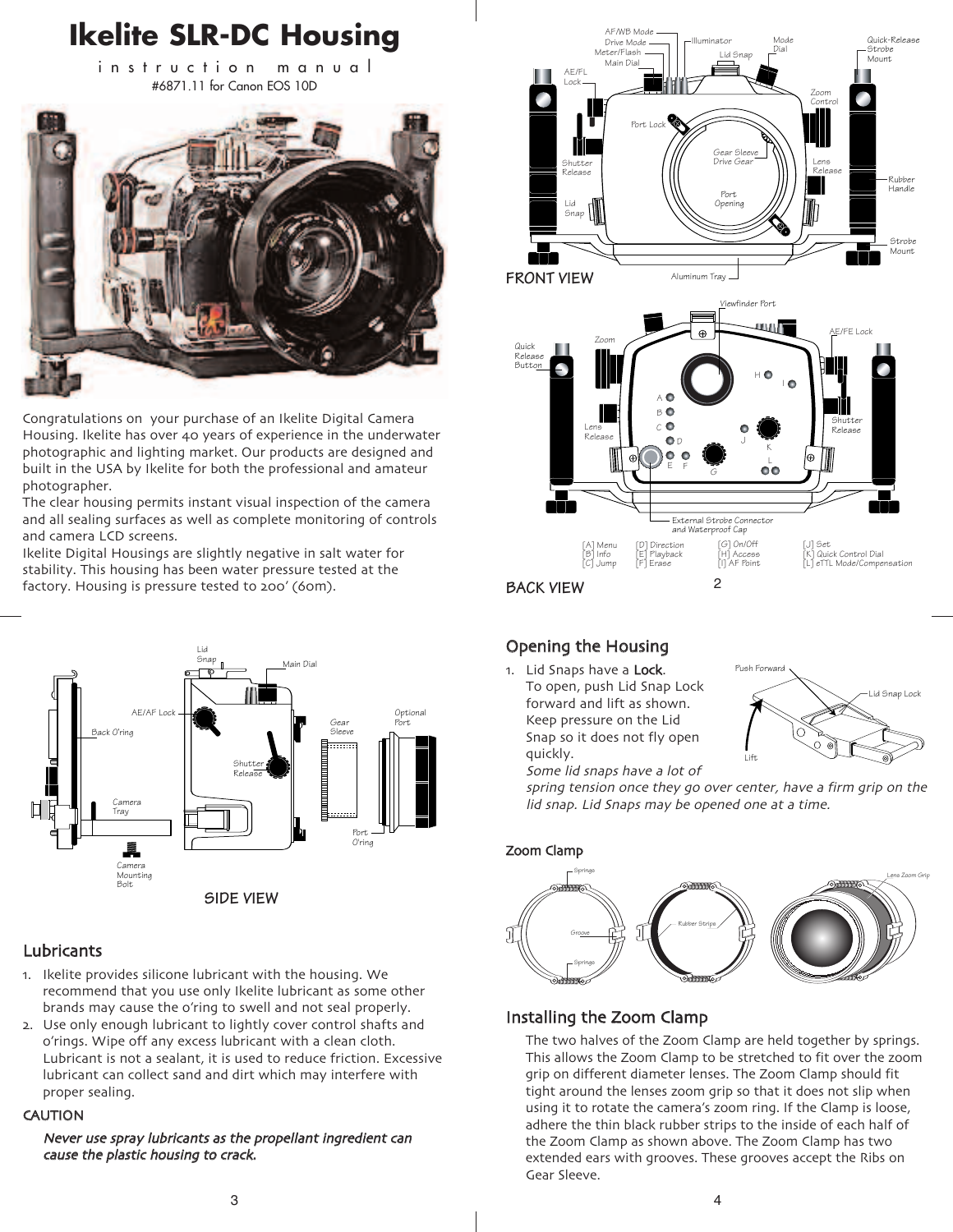

Congratulations on your purchase of an Ikelite Digital Camera Housing. Ikelite has over 40 years of experience in the underwater photographic and lighting market. Our products are designed and built in the USA by Ikelite for both the professional and amateur photographer.

The clear housing permits instant visual inspection of the camera and all sealing surfaces as well as complete monitoring of controls and camera LCD screens.

Ikelite Digital Housings are slightly negative in salt water for stability. This housing has been water pressure tested at the factory. Housing is pressure tested to 200' (60m).



## Lubricants

- 1. Ikelite provides silicone lubricant with the housing. We recommend that you use only Ikelite lubricant as some other brands may cause the o'ring to swell and not seal properly.
- 2. Use only enough lubricant to lightly cover control shafts and o'rings. Wipe off any excess lubricant with a clean cloth. Lubricant is not a sealant, it is used to reduce friction. Excessive lubricant can collect sand and dirt which may interfere with proper sealing.

#### **CAUTION**

Never use spray lubricants as the propellant ingredient can cause the plastic housing to crack.



# Opening the Housing

1. Lid Snaps have a Lock. To open, push Lid Snap Lock forward and lift as shown. Keep pressure on the Lid Snap so it does not fly open quickly.



Some lid snaps have a lot of spring tension once they go over center, have a firm grip on the lid snap. Lid Snaps may be opened one at a time.



## Installing the Zoom Clamp

The two halves of the Zoom Clamp are held together by springs. This allows the Zoom Clamp to be stretched to fit over the zoom grip on different diameter lenses. The Zoom Clamp should fit tight around the lenses zoom grip so that it does not slip when using it to rotate the camera's zoom ring. If the Clamp is loose, adhere the thin black rubber strips to the inside of each half of the Zoom Clamp as shown above. The Zoom Clamp has two extended ears with grooves. These grooves accept the Ribs on Gear Sleeve.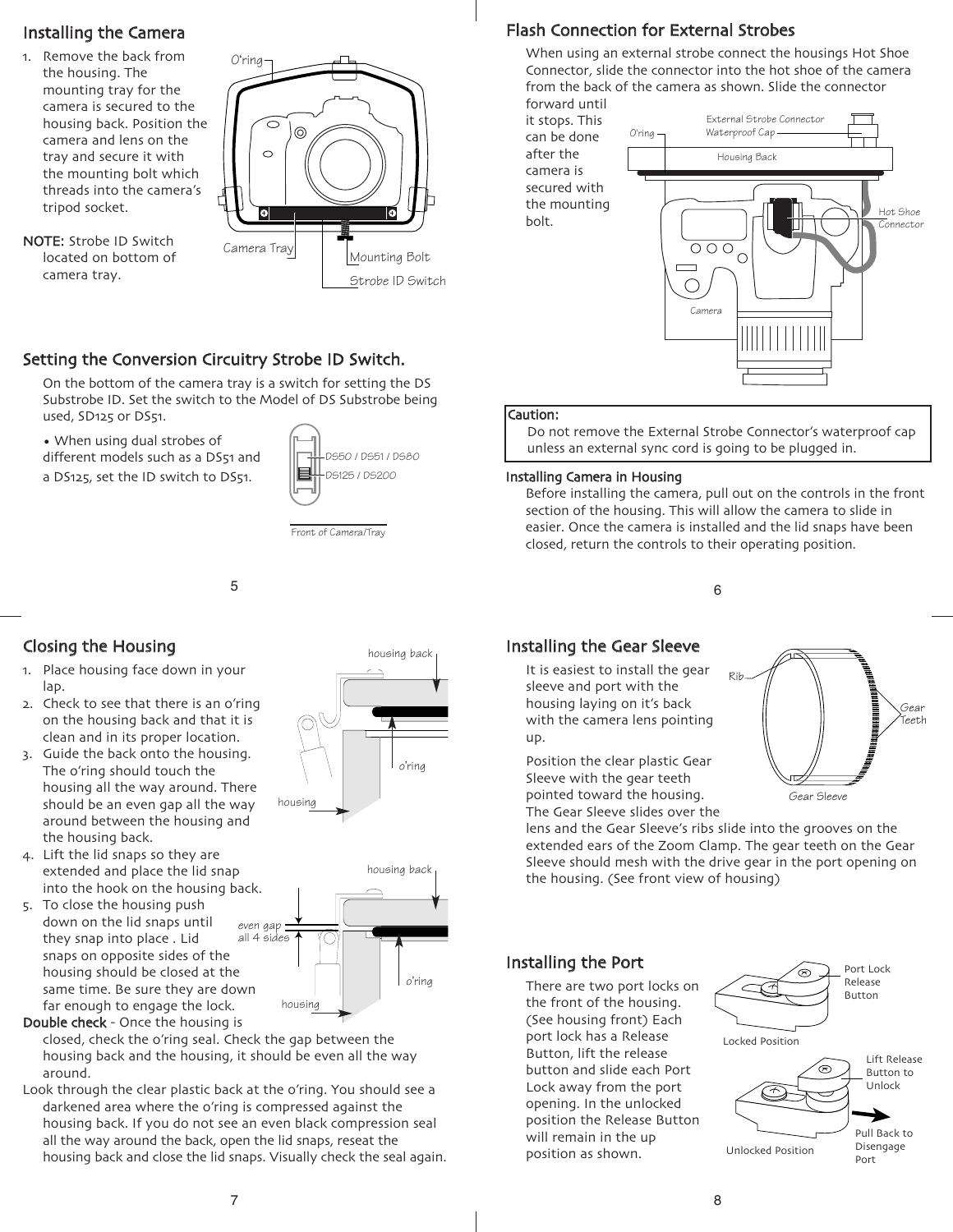# Installing the Camera

- 1. Remove the back from the housing. The mounting tray for the camera is secured to the housing back. Position the camera and lens on the tray and secure it with the mounting bolt which threads into the camera's tripod socket.
- NOTE: Strobe ID Switch located on bottom of camera tray.



# Setting the Conversion Circuitry Strobe ID Switch.

On the bottom of the camera tray is a switch for setting the DS Substrobe ID. Set the switch to the Model of DS Substrobe being used, SD125 or DS51.

• When using dual strobes of different models such as a DS51 and a DS125, set the ID switch to DS51.



Front of Camera/Tray

#### 5

# Closing the Housing

- 1. Place housing face down in your lap.
- 2. Check to see that there is an o'ring on the housing back and that it is clean and in its proper location.
- 3. Guide the back onto the housing. The o'ring should touch the housing all the way around. There should be an even gap all the way around between the housing and the housing back.
- 4. Lift the lid snaps so they are extended and place the lid snap into the hook on the housing back.
- 5. To close the housing push down on the lid snaps until they snap into place . Lid snaps on opposite sides of the housing should be closed at the same time. Be sure they are down far enough to engage the lock. even gap





Double check - Once the housing is closed, check the o'ring seal. Check the gap between the housing back and the housing, it should be even all the way around.

Look through the clear plastic back at the o'ring. You should see a darkened area where the o'ring is compressed against the housing back. If you do not see an even black compression seal all the way around the back, open the lid snaps, reseat the housing back and close the lid snaps. Visually check the seal again.

## Flash Connection for External Strobes

When using an external strobe connect the housings Hot Shoe Connector, slide the connector into the hot shoe of the camera from the back of the camera as shown. Slide the connector

forward until it stops. This can be done after the camera is secured with the mounting bolt.



#### Caution:

Do not remove the External Strobe Connector's waterproof cap unless an external sync cord is going to be plugged in.

#### Installing Camera in Housing

Before installing the camera, pull out on the controls in the front section of the housing. This will allow the camera to slide in easier. Once the camera is installed and the lid snaps have been closed, return the controls to their operating position.

6

Rib

# Installing the Gear Sleeve

It is easiest to install the gear sleeve and port with the housing laying on it's back with the camera lens pointing up.

Position the clear plastic Gear Sleeve with the gear teeth pointed toward the housing. The Gear Sleeve slides over the

lens and the Gear Sleeve's ribs slide into the grooves on the extended ears of the Zoom Clamp. The gear teeth on the Gear Sleeve should mesh with the drive gear in the port opening on the housing. (See front view of housing)

## Installing the Port

There are two port locks on the front of the housing. (See housing front) Each port lock has a Release Button, lift the release button and slide each Port Lock away from the port opening. In the unlocked position the Release Button will remain in the up position as shown.



Gear Sleeve

Gear Teeth

7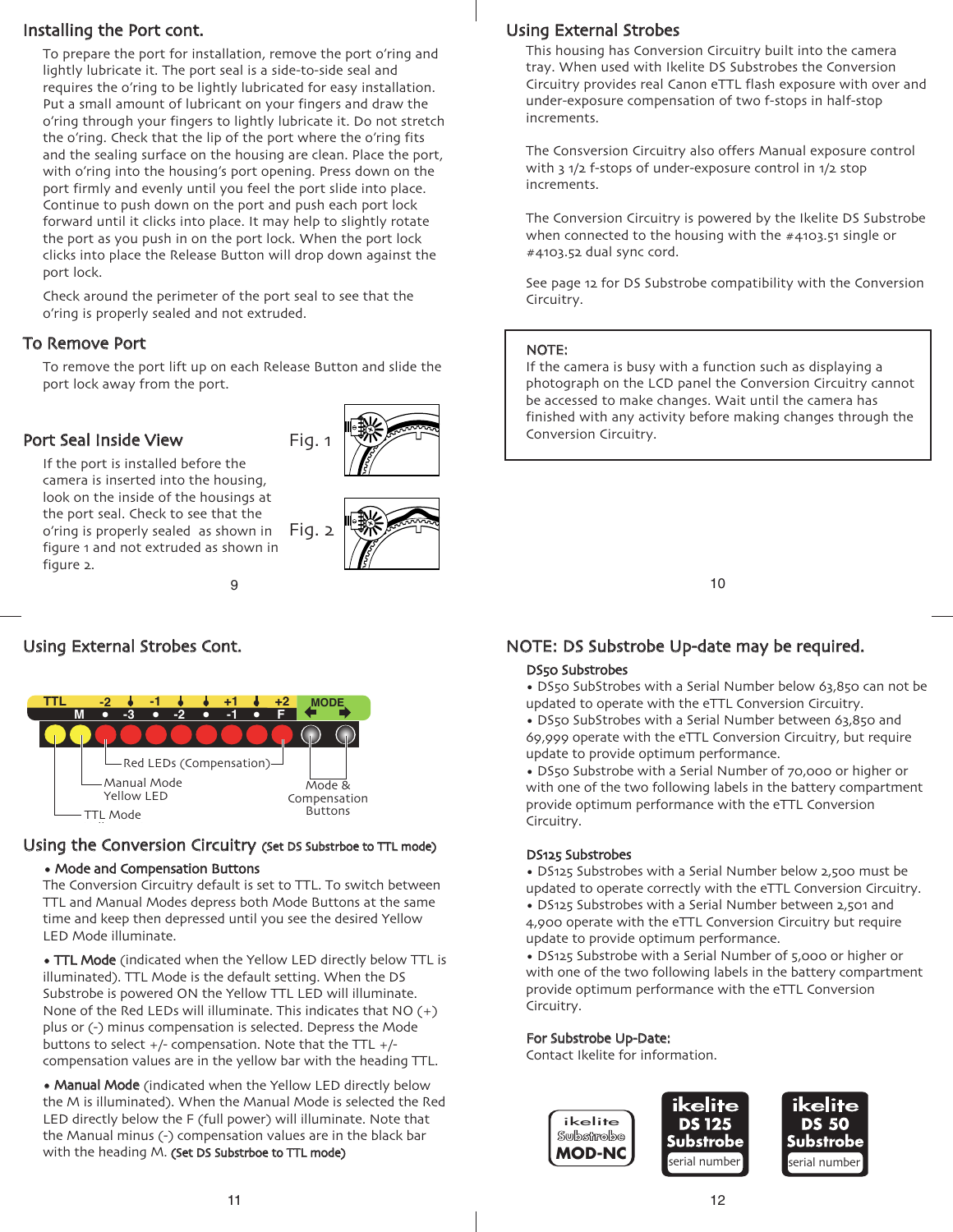## Installing the Port cont.

To prepare the port for installation, remove the port o'ring and lightly lubricate it. The port seal is a side-to-side seal and requires the o'ring to be lightly lubricated for easy installation. Put a small amount of lubricant on your fingers and draw the o'ring through your fingers to lightly lubricate it. Do not stretch the o'ring. Check that the lip of the port where the o'ring fits and the sealing surface on the housing are clean. Place the port, with o'ring into the housing's port opening. Press down on the port firmly and evenly until you feel the port slide into place. Continue to push down on the port and push each port lock forward until it clicks into place. It may help to slightly rotate the port as you push in on the port lock. When the port lock clicks into place the Release Button will drop down against the port lock.

Check around the perimeter of the port seal to see that the o'ring is properly sealed and not extruded.

## To Remove Port

To remove the port lift up on each Release Button and slide the port lock away from the port.

## Port Seal Inside View



9 If the port is installed before the camera is inserted into the housing, look on the inside of the housings at the port seal. Check to see that the o'ring is properly sealed as shown in figure 1 and not extruded as shown in figure 2. Fig. 2

# Using External Strobes Cont.



## Using the Conversion Circuitry (Set DS Substrboe to TTL mode) • Mode and Compensation Buttons

# The Conversion Circuitry default is set to TTL. To switch between

TTL and Manual Modes depress both Mode Buttons at the same time and keep then depressed until you see the desired Yellow LED Mode illuminate.

• TTL Mode (indicated when the Yellow LED directly below TTL is illuminated). TTL Mode is the default setting. When the DS Substrobe is powered ON the Yellow TTL LED will illuminate. None of the Red LEDs will illuminate. This indicates that  $NO (+)$ plus or (-) minus compensation is selected. Depress the Mode buttons to select  $+/-$  compensation. Note that the TTL  $+/$ compensation values are in the yellow bar with the heading TTL.

• Manual Mode (indicated when the Yellow LED directly below the M is illuminated). When the Manual Mode is selected the Red LED directly below the F (full power) will illuminate. Note that the Manual minus (-) compensation values are in the black bar with the heading M. (Set DS Substrboe to TTL mode)

# Using External Strobes

This housing has Conversion Circuitry built into the camera tray. When used with Ikelite DS Substrobes the Conversion Circuitry provides real Canon eTTL flash exposure with over and under-exposure compensation of two f-stops in half-stop increments.

The Consversion Circuitry also offers Manual exposure control with 3 1/2 f-stops of under-exposure control in 1/2 stop increments.

The Conversion Circuitry is powered by the Ikelite DS Substrobe when connected to the housing with the #4103.51 single or #4103.52 dual sync cord.

See page 12 for DS Substrobe compatibility with the Conversion Circuitry.

## NOTE:

If the camera is busy with a function such as displaying a photograph on the LCD panel the Conversion Circuitry cannot be accessed to make changes. Wait until the camera has finished with any activity before making changes through the Conversion Circuitry.

10

# NOTE: DS Substrobe Up-date may be required.

## DS50 Substrobes

- DS50 SubStrobes with a Serial Number below 63,850 can not be updated to operate with the eTTL Conversion Circuitry.
- DS50 SubStrobes with a Serial Number between 63,850 and 69,999 operate with the eTTL Conversion Circuitry, but require update to provide optimum performance.

• DS50 Substrobe with a Serial Number of 70,000 or higher or with one of the two following labels in the battery compartment provide optimum performance with the eTTL Conversion Circuitry.

#### DS125 Substrobes

- DS125 Substrobes with a Serial Number below 2,500 must be updated to operate correctly with the eTTL Conversion Circuitry.
- DS125 Substrobes with a Serial Number between 2,501 and 4,900 operate with the eTTL Conversion Circuitry but require update to provide optimum performance.

• DS125 Substrobe with a Serial Number of 5,000 or higher or with one of the two following labels in the battery compartment provide optimum performance with the eTTL Conversion Circuitry.

## For Substrobe Up-Date:

Contact Ikelite for information.

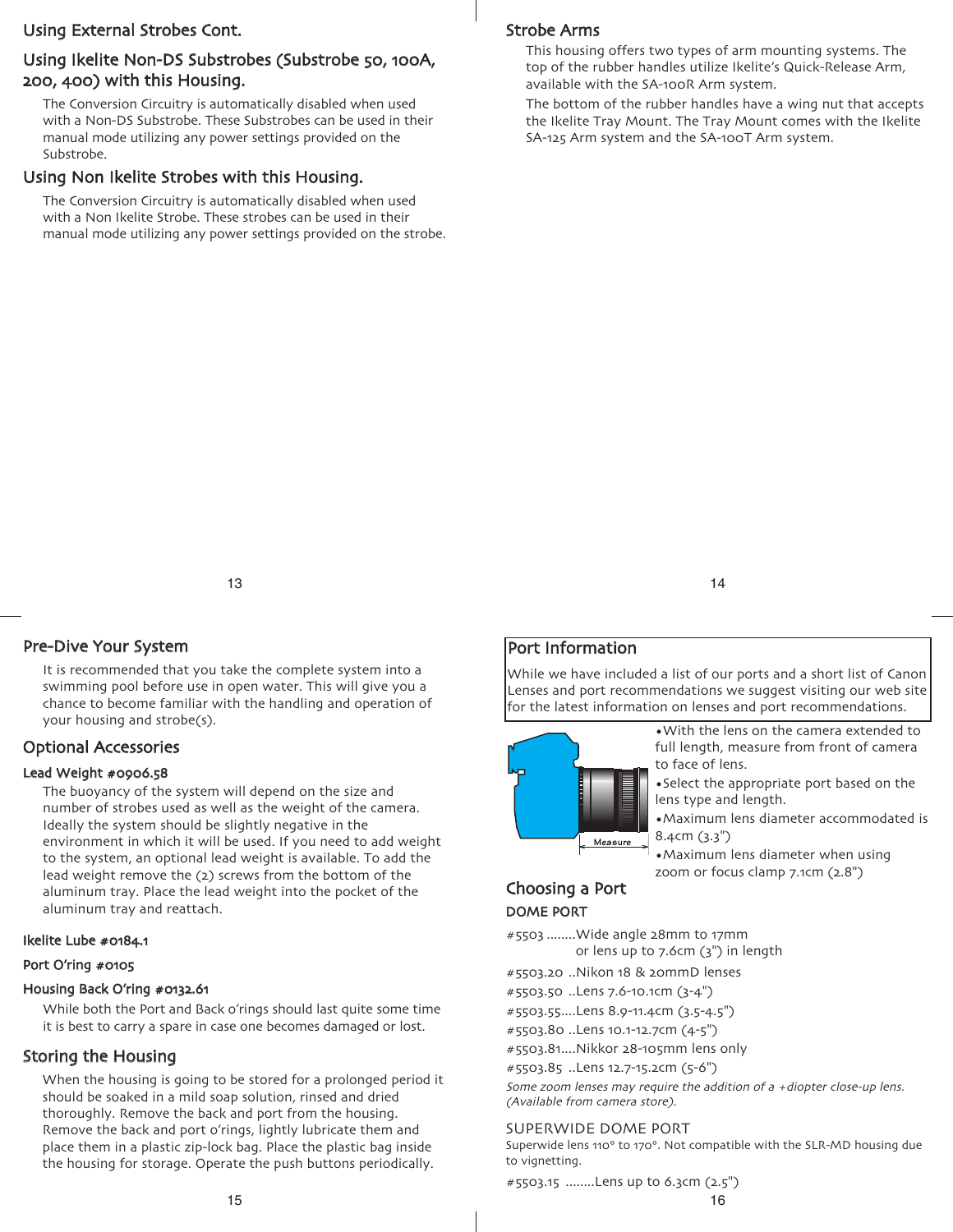## Using External Strobes Cont.

## Using Ikelite Non-DS Substrobes (Substrobe 50, 100A, 200, 400) with this Housing.

The Conversion Circuitry is automatically disabled when used with a Non-DS Substrobe. These Substrobes can be used in their manual mode utilizing any power settings provided on the Substrobe.

## Using Non Ikelite Strobes with this Housing.

The Conversion Circuitry is automatically disabled when used with a Non Ikelite Strobe. These strobes can be used in their manual mode utilizing any power settings provided on the strobe.

#### Strobe Arms

This housing offers two types of arm mounting systems. The top of the rubber handles utilize Ikelite's Quick-Release Arm, available with the SA-100R Arm system.

The bottom of the rubber handles have a wing nut that accepts the Ikelite Tray Mount. The Tray Mount comes with the Ikelite SA-125 Arm system and the SA-100T Arm system.

13

## Pre-Dive Your System

It is recommended that you take the complete system into a swimming pool before use in open water. This will give you a chance to become familiar with the handling and operation of your housing and strobe(s).

## Optional Accessories

#### Lead Weight #0906.58

The buoyancy of the system will depend on the size and number of strobes used as well as the weight of the camera. Ideally the system should be slightly negative in the environment in which it will be used. If you need to add weight to the system, an optional lead weight is available. To add the lead weight remove the (2) screws from the bottom of the aluminum tray. Place the lead weight into the pocket of the aluminum tray and reattach.

#### Ikelite Lube #0184.1

#### Port O'ring #0105

#### Housing Back O'ring #0132.61

While both the Port and Back o'rings should last quite some time it is best to carry a spare in case one becomes damaged or lost.

## Storing the Housing

When the housing is going to be stored for a prolonged period it should be soaked in a mild soap solution, rinsed and dried thoroughly. Remove the back and port from the housing. Remove the back and port o'rings, lightly lubricate them and place them in a plastic zip-lock bag. Place the plastic bag inside the housing for storage. Operate the push buttons periodically.

14

## Port Information

While we have included a list of our ports and a short list of Canon Lenses and port recommendations we suggest visiting our web site for the latest information on lenses and port recommendations.



•With the lens on the camera extended to full length, measure from front of camera to face of lens.

•Select the appropriate port based on the lens type and length.

•Maximum lens diameter accommodated is 8.4cm (3.3")

•Maximum lens diameter when using zoom or focus clamp 7.1cm (2.8")

## Choosing a Port DOME PORT

#5503 ........Wide angle 28mm to 17mm or lens up to 7.6cm (3") in length

- #5503.20 ..Nikon 18 & 20mmD lenses
- #5503.50 ..Lens 7.6-10.1cm (3-4")
- #5503.55....Lens 8.9-11.4cm (3.5-4.5")
- #5503.80 ..Lens 10.1-12.7cm (4-5")
- #5503.81....Nikkor 28-105mm lens only

#5503.85 ..Lens 12.7-15.2cm (5-6")

Some zoom lenses may require the addition of a +diopter close-up lens. (Available from camera store).

#### SUPERWIDE DOME PORT

Superwide lens 110° to 170°. Not compatible with the SLR-MD housing due to vignetting.

#5503.15 ........Lens up to 6.3cm (2.5")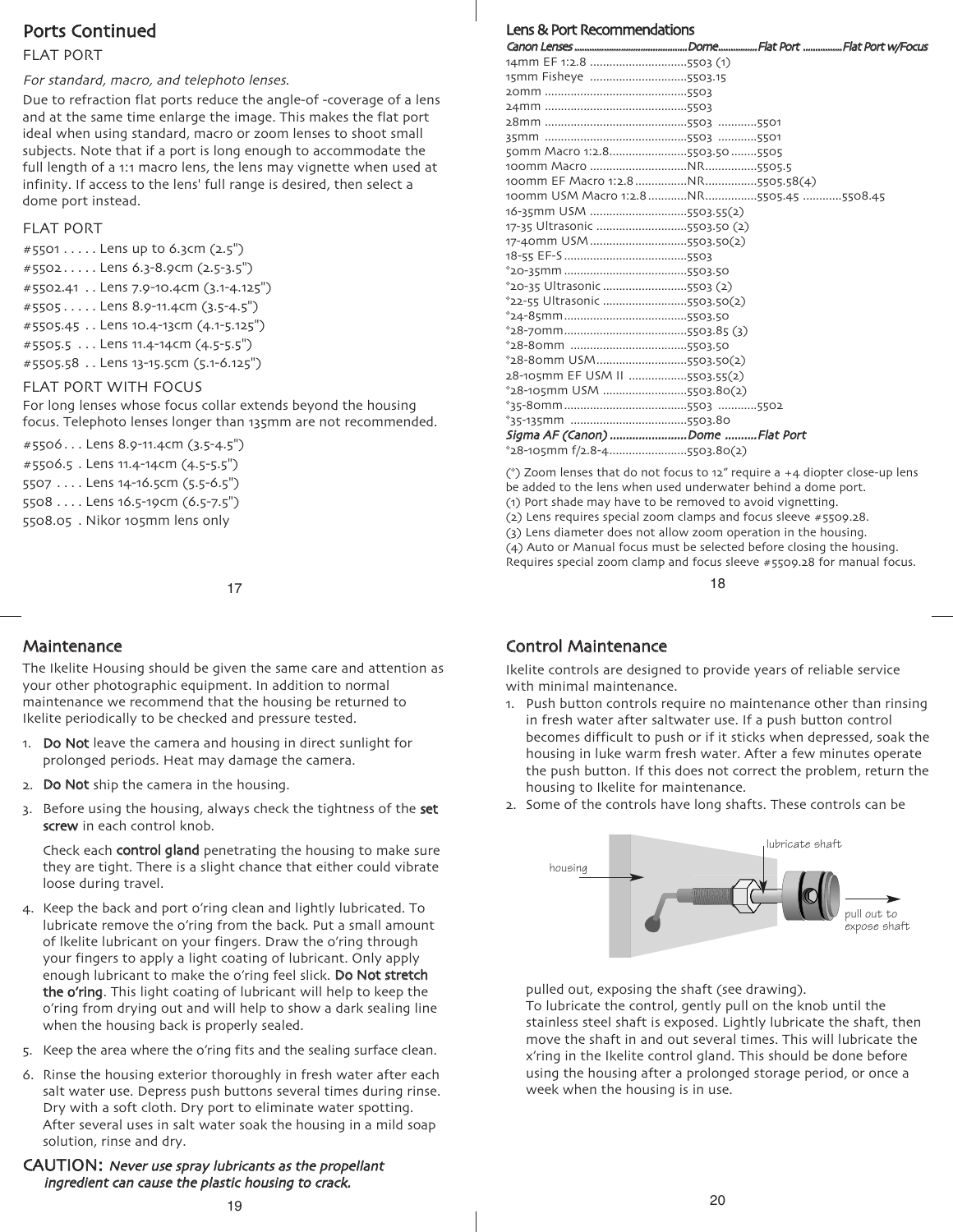## Ports Continued

## FLAT PORT

#### For standard, macro, and telephoto lenses.

Due to refraction flat ports reduce the angle-of -coverage of a lens and at the same time enlarge the image. This makes the flat port ideal when using standard, macro or zoom lenses to shoot small subjects. Note that if a port is long enough to accommodate the full length of a 1:1 macro lens, the lens may vignette when used at infinity. If access to the lens' full range is desired, then select a dome port instead.

#### FLAT PORT

#5501 . . . . . Lens up to 6.3cm (2.5") #5502 . . . . . Lens 6.3-8.9cm (2.5-3.5") #5502.41 . . Lens 7.9-10.4cm (3.1-4.125") #5505 . . . . . Lens 8.9-11.4cm (3.5-4.5") #5505.45 . . Lens 10.4-13cm (4.1-5.125") #5505.5 . . . Lens 11.4-14cm (4.5-5.5") #5505.58 . . Lens 13-15.5cm (5.1-6.125")

#### FLAT PORT WITH FOCUS

For long lenses whose focus collar extends beyond the housing focus. Telephoto lenses longer than 135mm are not recommended.

```
#5506 . . . Lens 8.9-11.4cm (3.5-4.5")
#5506.5 . Lens 11.4-14cm (4.5-5.5")
5507 . . . . Lens 14-16.5cm (5.5-6.5")
5508 . . . . Lens 16.5-19cm (6.5-7.5")
5508.05 . Nikor 105mm lens only
```
17

## **Maintenance**

The Ikelite Housing should be given the same care and attention as your other photographic equipment. In addition to normal maintenance we recommend that the housing be returned to Ikelite periodically to be checked and pressure tested.

- 1. Do Not leave the camera and housing in direct sunlight for prolonged periods. Heat may damage the camera.
- 2. Do Not ship the camera in the housing.
- 3. Before using the housing, always check the tightness of the set screw in each control knob.

Check each **control gland** penetrating the housing to make sure they are tight. There is a slight chance that either could vibrate loose during travel.

- 4. Keep the back and port o'ring clean and lightly lubricated. To lubricate remove the o'ring from the back. Put a small amount of lkelite lubricant on your fingers. Draw the o'ring through your fingers to apply a light coating of lubricant. Only apply enough lubricant to make the o'ring feel slick. Do Not stretch the o'ring. This light coating of lubricant will help to keep the o'ring from drying out and will help to show a dark sealing line when the housing back is properly sealed.
- 5. Keep the area where the o'ring fits and the sealing surface clean.
- 6. Rinse the housing exterior thoroughly in fresh water after each salt water use. Depress push buttons several times during rinse. Dry with a soft cloth. Dry port to eliminate water spotting. After several uses in salt water soak the housing in a mild soap solution, rinse and dry.

CAUTION: Never use spray lubricants as the propellant ingredient can cause the plastic housing to crack.

| 14mm EF 1:2.8 5503 (1)          |                                          |
|---------------------------------|------------------------------------------|
| 15mm Fisheye 5503.15            |                                          |
|                                 |                                          |
|                                 |                                          |
|                                 |                                          |
|                                 |                                          |
| 50mm Macro 1:2.85503.50 5505    |                                          |
|                                 |                                          |
|                                 |                                          |
|                                 | 100mm USM Macro 1:2.8 NR 5505.45 5508.45 |
| 16-35mm USM 5503.55(2)          |                                          |
| 17-35 Ultrasonic 5503.50 (2)    |                                          |
| 17-40mm USM 5503.50(2)          |                                          |
|                                 |                                          |
|                                 |                                          |
| *20-35 Ultrasonic 5503 (2)      |                                          |
| *22-55 Ultrasonic 5503.50(2)    |                                          |
|                                 |                                          |
|                                 |                                          |
|                                 |                                          |
| *28-80mm USM5503.50(2)          |                                          |
| 28-105mm EF USM II 5503.55(2)   |                                          |
| *28-105mm USM 5503.80(2)        |                                          |
|                                 |                                          |
|                                 |                                          |
| Sigma AF (Canon) Dome Flat Port |                                          |
| $28-105$ mm f/2.8-45503.80(2)   |                                          |

(\*) Zoom lenses that do not focus to 12" require a +4 diopter close-up lens be added to the lens when used underwater behind a dome port. (1) Port shade may have to be removed to avoid vignetting.

(2) Lens requires special zoom clamps and focus sleeve #5509.28.

(3) Lens diameter does not allow zoom operation in the housing. (4) Auto or Manual focus must be selected before closing the housing. Requires special zoom clamp and focus sleeve #5509.28 for manual focus.

18

## Control Maintenance

Ikelite controls are designed to provide years of reliable service with minimal maintenance.

- 1. Push button controls require no maintenance other than rinsing in fresh water after saltwater use. If a push button control becomes difficult to push or if it sticks when depressed, soak the housing in luke warm fresh water. After a few minutes operate the push button. If this does not correct the problem, return the housing to Ikelite for maintenance.
- 2. Some of the controls have long shafts. These controls can be



pulled out, exposing the shaft (see drawing).

To lubricate the control, gently pull on the knob until the stainless steel shaft is exposed. Lightly lubricate the shaft, then move the shaft in and out several times. This will lubricate the x'ring in the Ikelite control gland. This should be done before using the housing after a prolonged storage period, or once a week when the housing is in use.